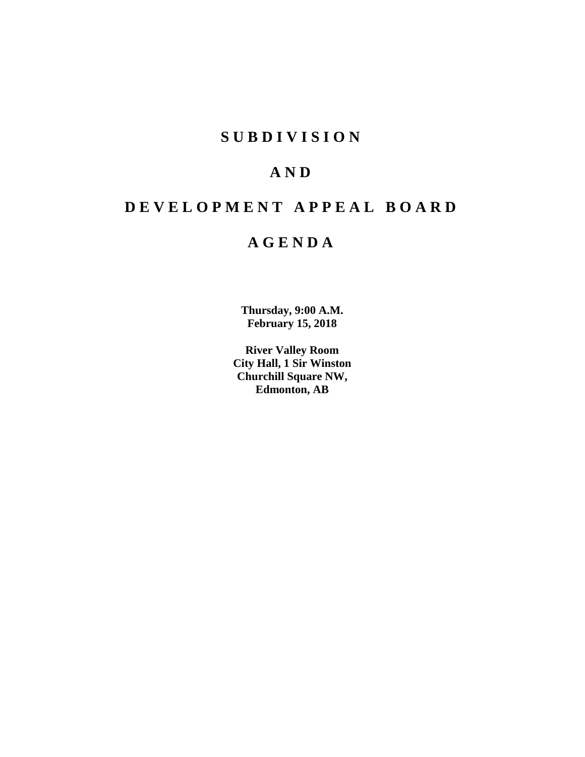# **SUBDIVISION**

# **AND**

# **DEVELOPMENT APPEAL BOARD**

# **AGENDA**

**Thursday, 9:00 A.M. February 15, 2018**

**River Valley Room City Hall, 1 Sir Winston Churchill Square NW, Edmonton, AB**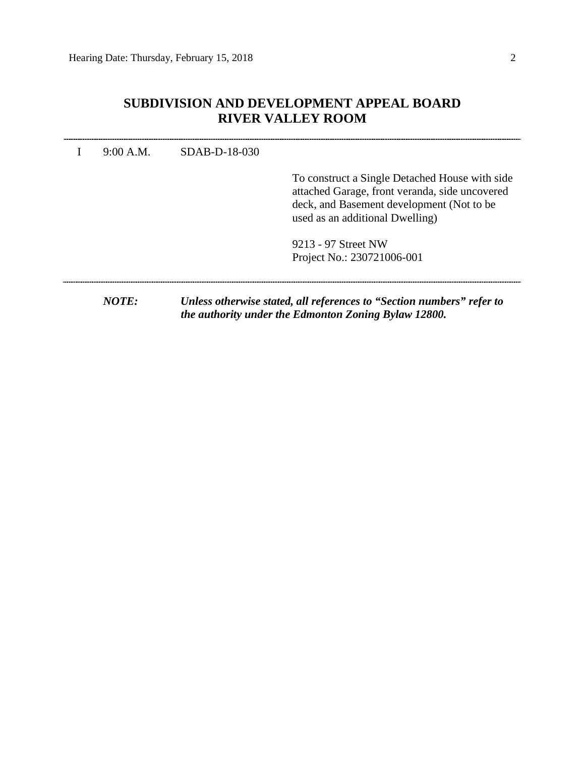# **SUBDIVISION AND DEVELOPMENT APPEAL BOARD RIVER VALLEY ROOM**

| 9:00 A.M.    | SDAB-D-18-030 |                                                                                                                                                                                   |
|--------------|---------------|-----------------------------------------------------------------------------------------------------------------------------------------------------------------------------------|
|              |               | To construct a Single Detached House with side<br>attached Garage, front veranda, side uncovered<br>deck, and Basement development (Not to be)<br>used as an additional Dwelling) |
|              |               | 9213 - 97 Street NW<br>Project No.: 230721006-001                                                                                                                                 |
| <i>NOTE:</i> |               | Unless otherwise stated, all references to "Section numbers" refer to<br>the authority under the Edmonton Zoning Bylaw 12800.                                                     |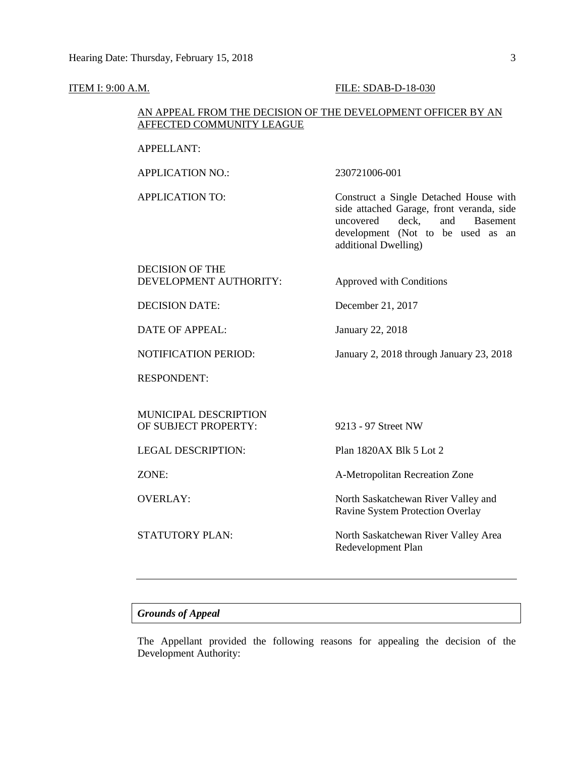#### **ITEM I: 9:00 A.M. FILE: SDAB-D-18-030**

### AN APPEAL FROM THE DECISION OF THE DEVELOPMENT OFFICER BY AN AFFECTED COMMUNITY LEAGUE

#### APPELLANT:

APPLICATION NO.: 230721006-001

APPLICATION TO: Construct a Single Detached House with side attached Garage, front veranda, side uncovered deck, and Basement development (Not to be used as an additional Dwelling)

#### DECISION OF THE DEVELOPMENT AUTHORITY: Approved with Conditions

DECISION DATE: December 21, 2017

DATE OF APPEAL: January 22, 2018

NOTIFICATION PERIOD: January 2, 2018 through January 23, 2018

RESPONDENT:

MUNICIPAL DESCRIPTION OF SUBJECT PROPERTY: 9213 - 97 Street NW

LEGAL DESCRIPTION: Plan 1820AX Blk 5 Lot 2

ZONE: A-Metropolitan Recreation Zone

OVERLAY: North Saskatchewan River Valley and Ravine System Protection Overlay

STATUTORY PLAN: North Saskatchewan River Valley Area Redevelopment Plan

### *Grounds of Appeal*

The Appellant provided the following reasons for appealing the decision of the Development Authority: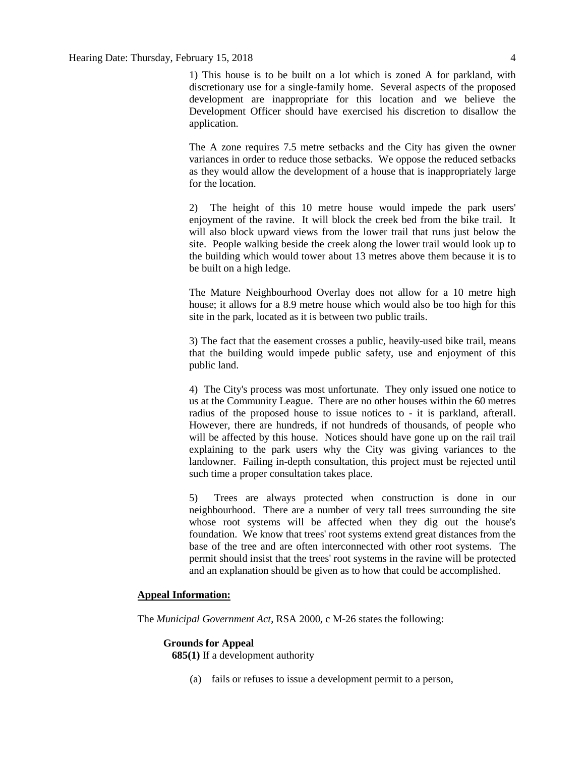1) This house is to be built on a lot which is zoned A for parkland, with discretionary use for a single-family home. Several aspects of the proposed development are inappropriate for this location and we believe the Development Officer should have exercised his discretion to disallow the application.

The A zone requires 7.5 metre setbacks and the City has given the owner variances in order to reduce those setbacks. We oppose the reduced setbacks as they would allow the development of a house that is inappropriately large for the location.

2) The height of this 10 metre house would impede the park users' enjoyment of the ravine. It will block the creek bed from the bike trail. It will also block upward views from the lower trail that runs just below the site. People walking beside the creek along the lower trail would look up to the building which would tower about 13 metres above them because it is to be built on a high ledge.

The Mature Neighbourhood Overlay does not allow for a 10 metre high house; it allows for a 8.9 metre house which would also be too high for this site in the park, located as it is between two public trails.

3) The fact that the easement crosses a public, heavily-used bike trail, means that the building would impede public safety, use and enjoyment of this public land.

4) The City's process was most unfortunate. They only issued one notice to us at the Community League. There are no other houses within the 60 metres radius of the proposed house to issue notices to - it is parkland, afterall. However, there are hundreds, if not hundreds of thousands, of people who will be affected by this house. Notices should have gone up on the rail trail explaining to the park users why the City was giving variances to the landowner. Failing in-depth consultation, this project must be rejected until such time a proper consultation takes place.

5) Trees are always protected when construction is done in our neighbourhood. There are a number of very tall trees surrounding the site whose root systems will be affected when they dig out the house's foundation. We know that trees' root systems extend great distances from the base of the tree and are often interconnected with other root systems. The permit should insist that the trees' root systems in the ravine will be protected and an explanation should be given as to how that could be accomplished.

#### **Appeal Information:**

The *Municipal Government Act*, RSA 2000, c M-26 states the following:

#### **Grounds for Appeal**

**685(1)** If a development authority

(a) fails or refuses to issue a development permit to a person,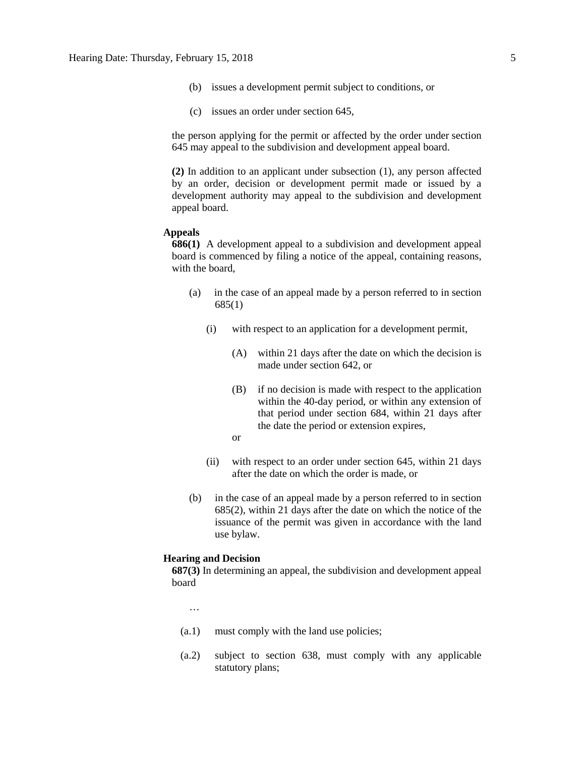- (b) issues a development permit subject to conditions, or
- (c) issues an order under section 645,

the person applying for the permit or affected by the order under section 645 may appeal to the subdivision and development appeal board.

**(2)** In addition to an applicant under subsection (1), any person affected by an order, decision or development permit made or issued by a development authority may appeal to the subdivision and development appeal board.

#### **Appeals**

**686(1)** A development appeal to a subdivision and development appeal board is commenced by filing a notice of the appeal, containing reasons, with the board,

- (a) in the case of an appeal made by a person referred to in section 685(1)
	- (i) with respect to an application for a development permit,
		- (A) within 21 days after the date on which the decision is made under section 642, or
		- (B) if no decision is made with respect to the application within the 40-day period, or within any extension of that period under section 684, within 21 days after the date the period or extension expires,
		- or
	- (ii) with respect to an order under section 645, within 21 days after the date on which the order is made, or
- (b) in the case of an appeal made by a person referred to in section 685(2), within 21 days after the date on which the notice of the issuance of the permit was given in accordance with the land use bylaw.

#### **Hearing and Decision**

**687(3)** In determining an appeal, the subdivision and development appeal board

…

- (a.1) must comply with the land use policies;
- (a.2) subject to section 638, must comply with any applicable statutory plans;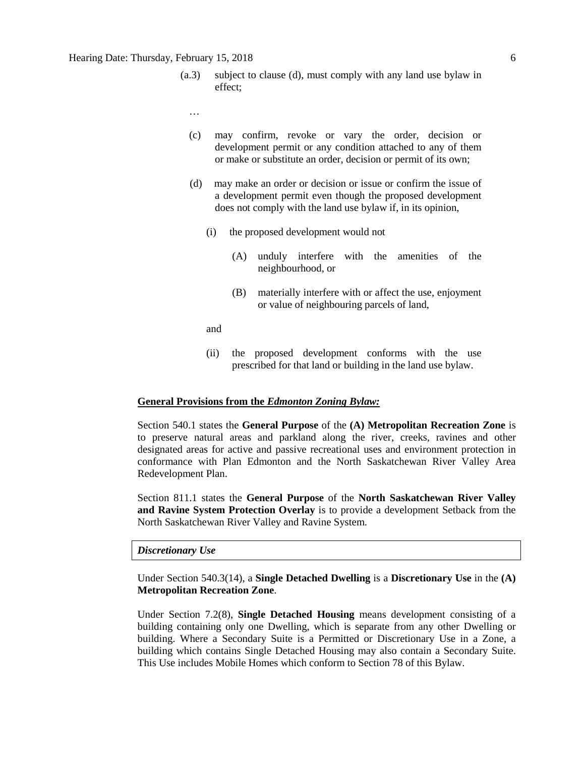#### Hearing Date: Thursday, February 15, 2018 6

- (a.3) subject to clause (d), must comply with any land use bylaw in effect;
	- …
	- (c) may confirm, revoke or vary the order, decision or development permit or any condition attached to any of them or make or substitute an order, decision or permit of its own;
	- (d) may make an order or decision or issue or confirm the issue of a development permit even though the proposed development does not comply with the land use bylaw if, in its opinion,
		- (i) the proposed development would not
			- (A) unduly interfere with the amenities of the neighbourhood, or
			- (B) materially interfere with or affect the use, enjoyment or value of neighbouring parcels of land,

and

(ii) the proposed development conforms with the use prescribed for that land or building in the land use bylaw.

#### **General Provisions from the** *Edmonton Zoning Bylaw:*

Section 540.1 states the **General Purpose** of the **(A) Metropolitan Recreation Zone** is to preserve natural areas and parkland along the river, creeks, ravines and other designated areas for active and passive recreational uses and environment protection in conformance with Plan Edmonton and the North Saskatchewan River Valley Area Redevelopment Plan.

Section 811.1 states the **General Purpose** of the **North Saskatchewan River Valley and Ravine System Protection Overlay** is to provide a development Setback from the North Saskatchewan River Valley and Ravine System.

#### *Discretionary Use*

Under Section 540.3(14), a **Single Detached Dwelling** is a **Discretionary Use** in the **(A) Metropolitan Recreation Zone**.

Under Section 7.2(8), **Single Detached Housing** means development consisting of a building containing only one Dwelling, which is separate from any other Dwelling or building. Where a Secondary Suite is a Permitted or Discretionary Use in a Zone, a building which contains Single Detached Housing may also contain a Secondary Suite. This Use includes Mobile Homes which conform to Section 78 of this Bylaw.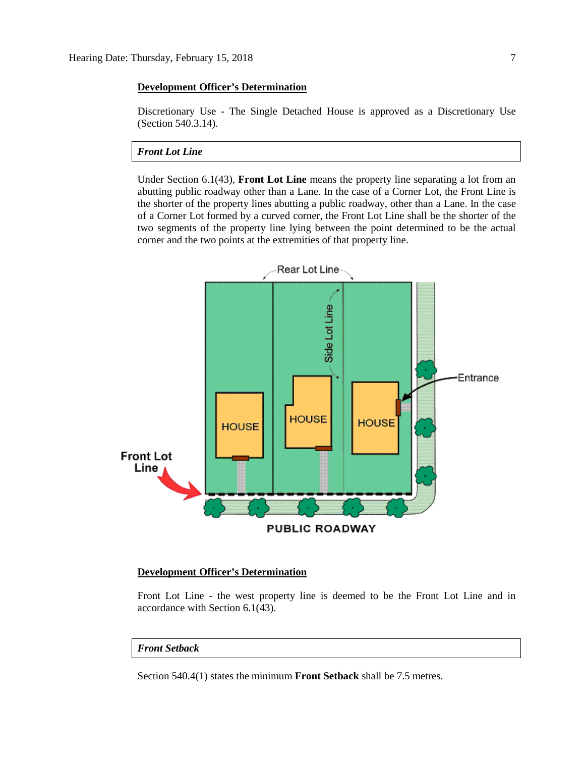#### **Development Officer's Determination**

Discretionary Use - The Single Detached House is approved as a Discretionary Use (Section 540.3.14).

*Front Lot Line*

Under Section 6.1(43), **Front Lot Line** means the property line separating a lot from an abutting public roadway other than a Lane. In the case of a Corner Lot, the Front Line is the shorter of the property lines abutting a public roadway, other than a Lane. In the case of a Corner Lot formed by a curved corner, the Front Lot Line shall be the shorter of the two segments of the property line lying between the point determined to be the actual corner and the two points at the extremities of that property line.



#### **Development Officer's Determination**

Front Lot Line - the west property line is deemed to be the Front Lot Line and in accordance with Section 6.1(43).

#### *Front Setback*

Section 540.4(1) states the minimum **Front Setback** shall be 7.5 metres.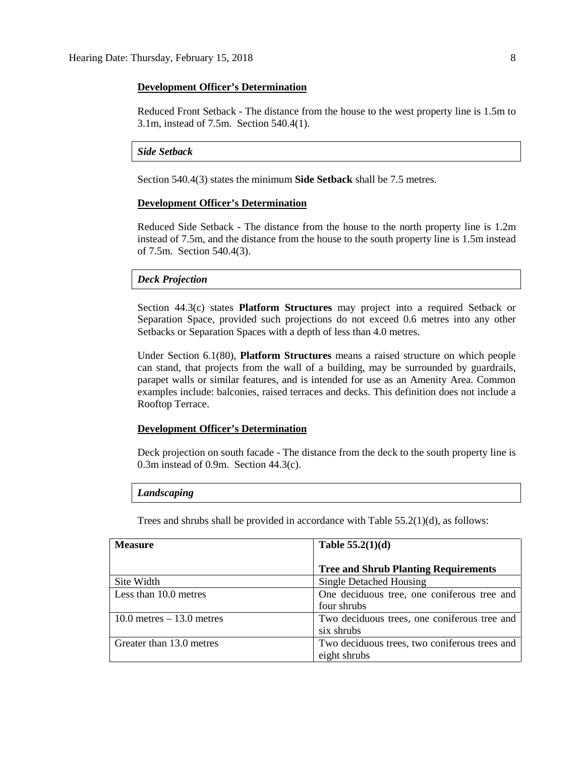#### **Development Officer's Determination**

Reduced Front Setback - The distance from the house to the west property line is 1.5m to 3.1m, instead of 7.5m. Section 540.4(1).

#### *Side Setback*

Section 540.4(3) states the minimum **Side Setback** shall be 7.5 metres.

#### **Development Officer's Determination**

Reduced Side Setback - The distance from the house to the north property line is 1.2m instead of 7.5m, and the distance from the house to the south property line is 1.5m instead of 7.5m. Section 540.4(3).

#### *Deck Projection*

Section 44.3(c) states **Platform Structures** may project into a required Setback or Separation Space, provided such projections do not exceed 0.6 metres into any other Setbacks or Separation Spaces with a depth of less than 4.0 metres.

Under Section 6.1(80), **Platform Structures** means a raised structure on which people can stand, that projects from the wall of a building, may be surrounded by guardrails, parapet walls or similar features, and is intended for use as an Amenity Area. Common examples include: balconies, raised terraces and decks. This definition does not include a Rooftop Terrace.

#### **Development Officer's Determination**

Deck projection on south facade - The distance from the deck to the south property line is 0.3m instead of 0.9m. Section 44.3(c).

#### *Landscaping*

Trees and shrubs shall be provided in accordance with Table 55.2(1)(d), as follows:

| <b>Measure</b>               | Table $55.2(1)(d)$                            |
|------------------------------|-----------------------------------------------|
|                              | <b>Tree and Shrub Planting Requirements</b>   |
| Site Width                   | Single Detached Housing                       |
| Less than 10.0 metres        | One deciduous tree, one coniferous tree and   |
|                              | four shrubs                                   |
| $10.0$ metres $-13.0$ metres | Two deciduous trees, one coniferous tree and  |
|                              | six shrubs                                    |
| Greater than 13.0 metres     | Two deciduous trees, two coniferous trees and |
|                              | eight shrubs                                  |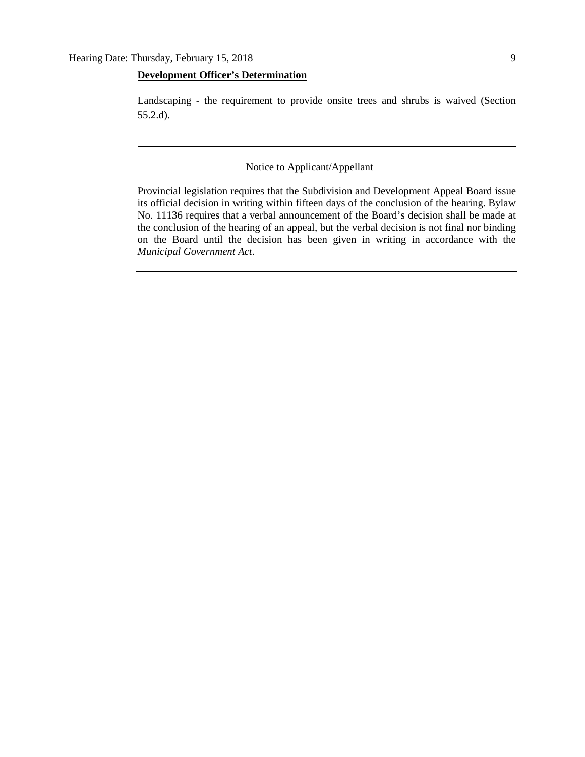#### **Development Officer's Determination**

Landscaping - the requirement to provide onsite trees and shrubs is waived (Section 55.2.d).

#### Notice to Applicant/Appellant

Provincial legislation requires that the Subdivision and Development Appeal Board issue its official decision in writing within fifteen days of the conclusion of the hearing. Bylaw No. 11136 requires that a verbal announcement of the Board's decision shall be made at the conclusion of the hearing of an appeal, but the verbal decision is not final nor binding on the Board until the decision has been given in writing in accordance with the *Municipal Government Act*.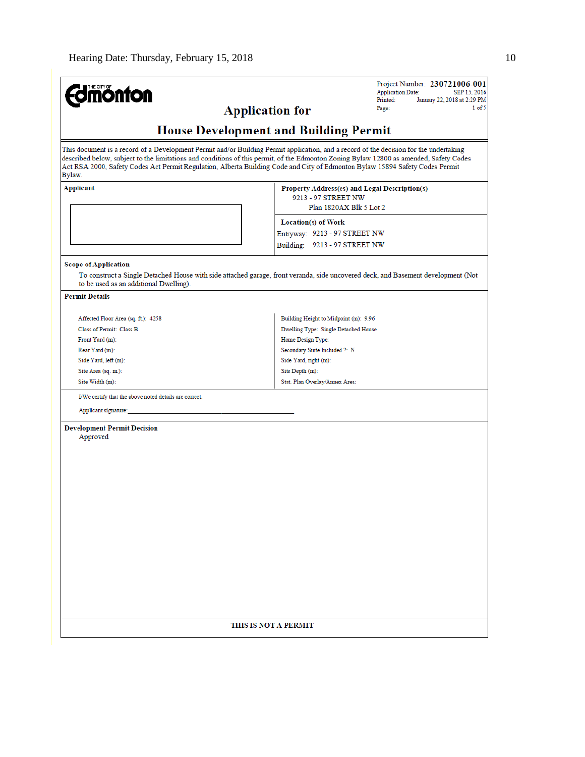|                                                                                                                                                                                                                                                                                  |                                              | Project Number: 230721006-001                 |
|----------------------------------------------------------------------------------------------------------------------------------------------------------------------------------------------------------------------------------------------------------------------------------|----------------------------------------------|-----------------------------------------------|
| <b>Umönton</b>                                                                                                                                                                                                                                                                   |                                              | <b>Application Date:</b><br>SEP 15, 2016      |
|                                                                                                                                                                                                                                                                                  |                                              | Printed:<br>January 22, 2018 at 2:29 PM       |
|                                                                                                                                                                                                                                                                                  | <b>Application for</b>                       | 1 of 5<br>Page:                               |
|                                                                                                                                                                                                                                                                                  | <b>House Development and Building Permit</b> |                                               |
| This document is a record of a Development Permit and/or Building Permit application, and a record of the decision for the undertaking                                                                                                                                           |                                              |                                               |
| described below, subject to the limitations and conditions of this permit, of the Edmonton Zoning Bylaw 12800 as amended, Safety Codes<br>Act RSA 2000, Safety Codes Act Permit Regulation, Alberta Building Code and City of Edmonton Bylaw 15894 Safety Codes Permit<br>Bylaw. |                                              |                                               |
| Applicant                                                                                                                                                                                                                                                                        |                                              | Property Address(es) and Legal Description(s) |
|                                                                                                                                                                                                                                                                                  | 9213 - 97 STREET NW                          |                                               |
|                                                                                                                                                                                                                                                                                  |                                              | Plan 1820AX Blk 5 Lot 2                       |
|                                                                                                                                                                                                                                                                                  | <b>Location(s) of Work</b>                   |                                               |
|                                                                                                                                                                                                                                                                                  | Entryway: 9213 - 97 STREET NW                |                                               |
|                                                                                                                                                                                                                                                                                  | Building: 9213 - 97 STREET NW                |                                               |
|                                                                                                                                                                                                                                                                                  |                                              |                                               |
| <b>Scope of Application</b><br>To construct a Single Detached House with side attached garage, front veranda, side uncovered deck, and Basement development (Not<br>to be used as an additional Dwelling).                                                                       |                                              |                                               |
| <b>Permit Details</b>                                                                                                                                                                                                                                                            |                                              |                                               |
|                                                                                                                                                                                                                                                                                  |                                              |                                               |
| Affected Floor Area (sq. ft.): 4258                                                                                                                                                                                                                                              | Building Height to Midpoint (m): 9.96        |                                               |
| Class of Permit: Class B                                                                                                                                                                                                                                                         | Dwelling Type: Single Detached House         |                                               |
| Front Yard (m):                                                                                                                                                                                                                                                                  | Home Design Type:                            |                                               |
| Rear Yard (m):                                                                                                                                                                                                                                                                   | Secondary Suite Included ?: N                |                                               |
| Side Yard, left (m):                                                                                                                                                                                                                                                             | Side Yard, right (m):                        |                                               |
| Site Area (sq. m.):                                                                                                                                                                                                                                                              | Site Depth (m):                              |                                               |
| Site Width (m):                                                                                                                                                                                                                                                                  | Stat. Plan Overlay/Annex Area:               |                                               |
| I/We certify that the above noted details are correct.                                                                                                                                                                                                                           |                                              |                                               |
| Applicant signature:                                                                                                                                                                                                                                                             |                                              |                                               |
|                                                                                                                                                                                                                                                                                  |                                              |                                               |
| <b>Development Permit Decision</b>                                                                                                                                                                                                                                               |                                              |                                               |
| Approved                                                                                                                                                                                                                                                                         |                                              |                                               |
|                                                                                                                                                                                                                                                                                  |                                              |                                               |
|                                                                                                                                                                                                                                                                                  |                                              |                                               |
|                                                                                                                                                                                                                                                                                  |                                              |                                               |
|                                                                                                                                                                                                                                                                                  |                                              |                                               |
|                                                                                                                                                                                                                                                                                  |                                              |                                               |
|                                                                                                                                                                                                                                                                                  |                                              |                                               |
|                                                                                                                                                                                                                                                                                  |                                              |                                               |
|                                                                                                                                                                                                                                                                                  |                                              |                                               |
|                                                                                                                                                                                                                                                                                  |                                              |                                               |
|                                                                                                                                                                                                                                                                                  |                                              |                                               |
|                                                                                                                                                                                                                                                                                  |                                              |                                               |
|                                                                                                                                                                                                                                                                                  |                                              |                                               |
|                                                                                                                                                                                                                                                                                  |                                              |                                               |
|                                                                                                                                                                                                                                                                                  |                                              |                                               |
|                                                                                                                                                                                                                                                                                  |                                              |                                               |
|                                                                                                                                                                                                                                                                                  |                                              |                                               |
|                                                                                                                                                                                                                                                                                  | THIS IS NOT A PERMIT                         |                                               |
|                                                                                                                                                                                                                                                                                  |                                              |                                               |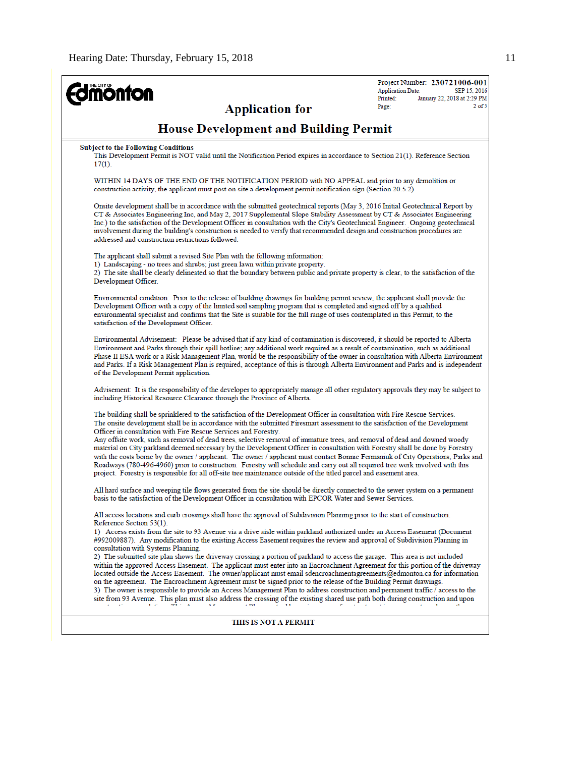| <b>nönfon</b><br><b>Application for</b>                                                                                                                                                                                                                                                                                                                                                                                                                                                                                                                                                                                                                                                                                                                                                                                                                                                                                                                                                                                                                                                                                                                                                                                                                                                                                | Project Number: 230721006-001<br><b>Application Date:</b><br>SEP 15, 2016<br>January 22, 2018 at 2:29 PM<br>Printed:<br>$2$ of $5$<br>Page: |
|------------------------------------------------------------------------------------------------------------------------------------------------------------------------------------------------------------------------------------------------------------------------------------------------------------------------------------------------------------------------------------------------------------------------------------------------------------------------------------------------------------------------------------------------------------------------------------------------------------------------------------------------------------------------------------------------------------------------------------------------------------------------------------------------------------------------------------------------------------------------------------------------------------------------------------------------------------------------------------------------------------------------------------------------------------------------------------------------------------------------------------------------------------------------------------------------------------------------------------------------------------------------------------------------------------------------|---------------------------------------------------------------------------------------------------------------------------------------------|
| <b>House Development and Building Permit</b>                                                                                                                                                                                                                                                                                                                                                                                                                                                                                                                                                                                                                                                                                                                                                                                                                                                                                                                                                                                                                                                                                                                                                                                                                                                                           |                                                                                                                                             |
| <b>Subject to the Following Conditions</b><br>This Development Permit is NOT valid until the Notification Period expires in accordance to Section 21(1). Reference Section<br>$17(1)$ .                                                                                                                                                                                                                                                                                                                                                                                                                                                                                                                                                                                                                                                                                                                                                                                                                                                                                                                                                                                                                                                                                                                                |                                                                                                                                             |
| WITHIN 14 DAYS OF THE END OF THE NOTIFICATION PERIOD with NO APPEAL and prior to any demolition or<br>construction activity, the applicant must post on-site a development permit notification sign (Section 20.5.2)                                                                                                                                                                                                                                                                                                                                                                                                                                                                                                                                                                                                                                                                                                                                                                                                                                                                                                                                                                                                                                                                                                   |                                                                                                                                             |
| Onsite development shall be in accordance with the submitted geotechnical reports (May 3, 2016 Initial Geotechnical Report by<br>CT & Associates Engineering Inc, and May 2, 2017 Supplemental Slope Stability Assessment by CT & Associates Engineering<br>Inc.) to the satisfaction of the Development Officer in consultation with the City's Geotechnical Engineer. Ongoing geotechnical<br>involvement during the building's construction is needed to verify that recommended design and construction procedures are<br>addressed and construction restrictions followed.                                                                                                                                                                                                                                                                                                                                                                                                                                                                                                                                                                                                                                                                                                                                        |                                                                                                                                             |
| The applicant shall submit a revised Site Plan with the following information:<br>1) Landscaping - no trees and shrubs; just green lawn within private property.<br>2) The site shall be clearly delineated so that the boundary between public and private property is clear, to the satisfaction of the<br>Development Officer.                                                                                                                                                                                                                                                                                                                                                                                                                                                                                                                                                                                                                                                                                                                                                                                                                                                                                                                                                                                      |                                                                                                                                             |
| Environmental condition: Prior to the release of building drawings for building permit review, the applicant shall provide the<br>Development Officer with a copy of the limited soil sampling program that is completed and signed off by a qualified<br>environmental specialist and confirms that the Site is suitable for the full range of uses contemplated in this Permit, to the<br>satisfaction of the Development Officer.                                                                                                                                                                                                                                                                                                                                                                                                                                                                                                                                                                                                                                                                                                                                                                                                                                                                                   |                                                                                                                                             |
| Environmental Advisement: Please be advised that if any kind of contamination is discovered, it should be reported to Alberta<br>Environment and Parks through their spill hotline; any additional work required as a result of contamination, such as additional<br>Phase II ESA work or a Risk Management Plan, would be the responsibility of the owner in consultation with Alberta Environment<br>and Parks. If a Risk Management Plan is required, acceptance of this is through Alberta Environment and Parks and is independent<br>of the Development Permit application.                                                                                                                                                                                                                                                                                                                                                                                                                                                                                                                                                                                                                                                                                                                                      |                                                                                                                                             |
| Advisement: It is the responsibility of the developer to appropriately manage all other regulatory approvals they may be subject to<br>including Historical Resource Clearance through the Province of Alberta.                                                                                                                                                                                                                                                                                                                                                                                                                                                                                                                                                                                                                                                                                                                                                                                                                                                                                                                                                                                                                                                                                                        |                                                                                                                                             |
| The building shall be sprinklered to the satisfaction of the Development Officer in consultation with Fire Rescue Services.<br>The onsite development shall be in accordance with the submitted Firesmart assessment to the satisfaction of the Development<br>Officer in consultation with Fire Rescue Services and Forestry.<br>Any offsite work, such as removal of dead trees, selective removal of immature trees, and removal of dead and downed woody<br>material on City parkland deemed necessary by the Development Officer in consultation with Forestry shall be done by Forestry<br>with the costs borne by the owner / applicant. The owner / applicant must contact Bonnie Fermaniuk of City Operations, Parks and<br>Roadways (780-496-4960) prior to construction. Forestry will schedule and carry out all required tree work involved with this<br>project. Forestry is responsible for all off-site tree maintenance outside of the titled parcel and easement area.                                                                                                                                                                                                                                                                                                                               |                                                                                                                                             |
| All hard surface and weeping tile flows generated from the site should be directly connected to the sewer system on a permanent<br>basis to the satisfaction of the Development Officer in consultation with EPCOR Water and Sewer Services.                                                                                                                                                                                                                                                                                                                                                                                                                                                                                                                                                                                                                                                                                                                                                                                                                                                                                                                                                                                                                                                                           |                                                                                                                                             |
| All access locations and curb crossings shall have the approval of Subdivision Planning prior to the start of construction.<br>Reference Section 53(1).<br>1) Access exists from the site to 93 Avenue via a drive aisle within parkland authorized under an Access Easement (Document<br>#992009887). Any modification to the existing Access Easement requires the review and approval of Subdivision Planning in<br>consultation with Systems Planning.<br>2) The submitted site plan shows the driveway crossing a portion of parkland to access the garage. This area is not included<br>within the approved Access Easement. The applicant must enter into an Encroachment Agreement for this portion of the driveway<br>located outside the Access Easement. The owner/applicant must email sdencroachmentagreements@edmonton.ca for information<br>on the agreement. The Encroachment Agreement must be signed prior to the release of the Building Permit drawings.<br>3) The owner is responsible to provide an Access Management Plan to address construction and permanent traffic / access to the<br>site from 93 Avenue. This plan must also address the crossing of the existing shared use path both during construction and upon<br><b>SEARCH PRODUCTS AND INVESTIGATION</b><br>$\sim 753$<br>$-1.14$ |                                                                                                                                             |
| THIS IS NOT A PERMIT                                                                                                                                                                                                                                                                                                                                                                                                                                                                                                                                                                                                                                                                                                                                                                                                                                                                                                                                                                                                                                                                                                                                                                                                                                                                                                   |                                                                                                                                             |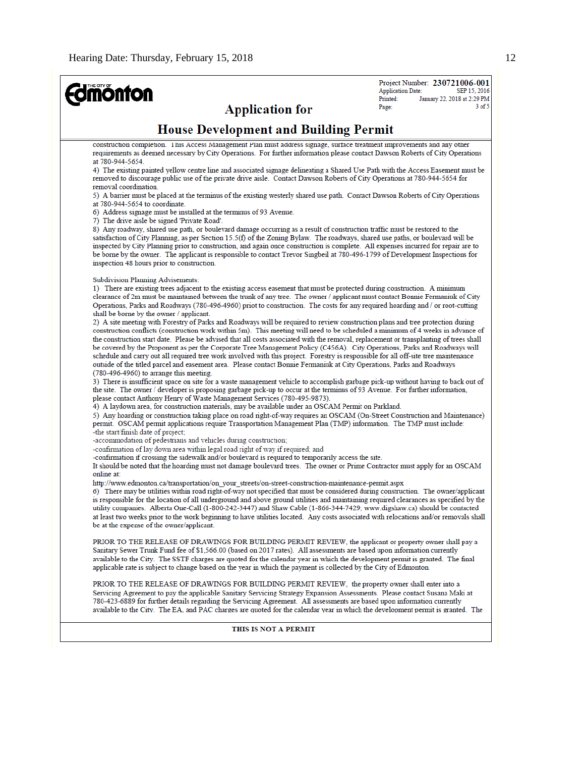# **Edmonton**

Project Number: 230721006-001 **Application Date:** SEP 15, 2016 January 22, 2018 at 2:29 PM Printed:  $3$  of  $5$ Page:

**Application for** 

## **House Development and Building Permit**

construction completion. This Access Management Plan must address signage, surface treatment improvements and any other requirements as deemed necessary by City Operations. For further information please contact Dawson Roberts of City Operations at 780-944-5654

4) The existing painted yellow centre line and associated signage delineating a Shared Use Path with the Access Easement must be removed to discourage public use of the private drive aisle. Contact Dawson Roberts of City Operations at 780-944-5654 for removal coordination.

5) A barrier must be placed at the terminus of the existing westerly shared use path. Contact Dawson Roberts of City Operations at 780-944-5654 to coordinate.

6) Address signage must be installed at the terminus of 93 Avenue.

7) The drive aisle be signed 'Private Road'.

8) Any roadway, shared use path, or boulevard damage occurring as a result of construction traffic must be restored to the satisfaction of City Planning, as per Section 15.5(f) of the Zoning Bylaw. The roadways, shared use paths, or boulevard will be inspected by City Planning prior to construction, and again once construction is complete. All expenses incurred for repair are to be borne by the owner. The applicant is responsible to contact Trevor Singbeil at 780-496-1799 of Development Inspections for inspection 48 hours prior to construction.

**Subdivision Planning Advisements:** 

1) There are existing trees adjacent to the existing access easement that must be protected during construction. A minimum clearance of 2m must be maintained between the trunk of any tree. The owner / applicant must contact Bonnie Fermaniuk of City Operations, Parks and Roadways (780-496-4960) priot to construction. The costs for any required hoarding and / or root-cutting shall be borne by the owner / applicant.

2) A site meeting with Forestry of Parks and Roadways will be required to review construction plans and tree protection during construction conflicts (construction work within 5m). This meeting will need to be scheduled a minimum of 4 weeks in advance of the construction start date. Please be advised that all costs associated with the removal, replacement or transplanting of trees shall be covered by the Proponent as per the Corporate Tree Management Policy (C456A). City Operations, Parks and Roadways will schedule and carry out all required tree work involved with this project. Forestry is responsible for all off-site tree maintenance outside of the titled parcel and easement area. Please contact Bonnie Fermaniuk at City Operations, Parks and Roadways (780-496-4960) to arrange this meeting.

3) There is insufficient space on site for a waste management vehicle to accomplish garbage pick-up without having to back out of the site. The owner / developer is proposing garbage pick-up to occur at the terminus of 93 Avenue. For further information, please contact Anthony Henry of Waste Management Services (780-495-9873).

4) A laydown area, for construction materials, may be available under an OSCAM Permit on Parkland.

5) Any hoarding or construction taking place on road right-of-way requires an OSCAM (On-Street Construction and Maintenance) permit. OSCAM permit applications require Transportation Management Plan (TMP) information. The TMP must include: -the start/finish date of project;

-accommodation of pedestrians and vehicles during construction;

-confirmation of lay down area within legal road right of way if required; and

-confirmation if crossing the sidewalk and/or boulevard is required to temporarily access the site.

It should be noted that the hoarding must not damage boulevard trees. The owner or Prime Contractor must apply for an OSCAM online at:

http://www.edmonton.ca/transportation/on\_your\_streets/on-street-construction-maintenance-permit.aspx

6) There may be utilities within road right-of-way not specified that must be considered during construction. The owner/applicant is responsible for the location of all underground and above ground utilities and maintaining required clearances as specified by the utility companies. Alberta One-Call (1-800-242-3447) and Shaw Cable (1-866-344-7429; www.digshaw.ca) should be contacted at least two weeks prior to the work beginning to have utilities located. Any costs associated with relocations and/or removals shall be at the expense of the owner/applicant.

PRIOR TO THE RELEASE OF DRAWINGS FOR BUILDING PERMIT REVIEW, the applicant or property owner shall pay a Sanitary Sewer Trunk Fund fee of \$1,566.00 (based on 2017 rates). All assessments are based upon information currently available to the City. The SSTF charges are quoted for the calendar year in which the development permit is granted. The final applicable rate is subject to change based on the year in which the payment is collected by the City of Edmonton.

PRIOR TO THE RELEASE OF DRAWINGS FOR BUILDING PERMIT REVIEW, the property owner shall enter into a Servicing Agreement to pay the applicable Sanitary Servicing Strategy Expansion Assessments. Please contact Susana Maki at 780-423-6889 for further details regarding the Servicing Agreement. All assessments are based upon information currently available to the City. The EA, and PAC charges are quoted for the calendar year in which the development permit is granted. The

#### THIS IS NOT A PERMIT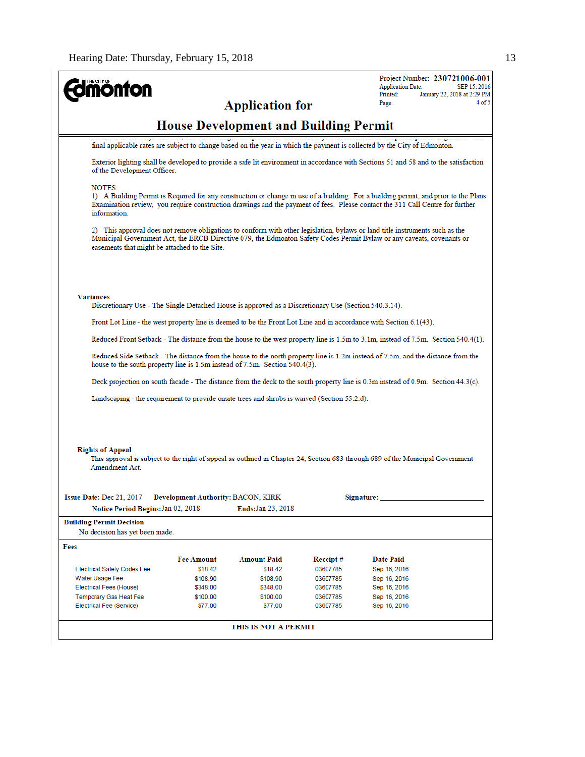$\blacksquare$ 

| <b>onton</b>                                                          |                                    |                                                                                                                                                                                                                                                                      |                      | <b>Application Date:</b>     | Project Number: 230721006-001<br>SEP 15, 2016 |
|-----------------------------------------------------------------------|------------------------------------|----------------------------------------------------------------------------------------------------------------------------------------------------------------------------------------------------------------------------------------------------------------------|----------------------|------------------------------|-----------------------------------------------|
|                                                                       |                                    | <b>Application for</b>                                                                                                                                                                                                                                               |                      | Printed:<br>Page:            | January 22, 2018 at 2:29 PM<br>4 of 5         |
|                                                                       |                                    | <b>House Development and Building Permit</b>                                                                                                                                                                                                                         |                      |                              |                                               |
|                                                                       |                                    | final applicable rates are subject to change based on the year in which the payment is collected by the City of Edmonton.                                                                                                                                            |                      |                              |                                               |
| of the Development Officer.                                           |                                    | Exterior lighting shall be developed to provide a safe lit environment in accordance with Sections 51 and 58 and to the satisfaction                                                                                                                                 |                      |                              |                                               |
| <b>NOTES:</b><br>information.                                         |                                    | 1) A Building Permit is Required for any construction or change in use of a building. For a building permit, and prior to the Plans<br>Examination review, you require construction drawings and the payment of fees. Please contact the 311 Call Centre for further |                      |                              |                                               |
| easements that might be attached to the Site.                         |                                    | 2) This approval does not remove obligations to conform with other legislation, bylaws or land title instruments such as the<br>Municipal Government Act, the ERCB Directive 079, the Edmonton Safety Codes Permit Bylaw or any caveats, covenants or                |                      |                              |                                               |
| <b>Variances</b>                                                      |                                    | Discretionary Use - The Single Detached House is approved as a Discretionary Use (Section 540.3.14).                                                                                                                                                                 |                      |                              |                                               |
|                                                                       |                                    | Front Lot Line - the west property line is deemed to be the Front Lot Line and in accordance with Section 6.1(43).                                                                                                                                                   |                      |                              |                                               |
|                                                                       |                                    | Reduced Front Setback - The distance from the house to the west property line is 1.5m to 3.1m, instead of 7.5m. Section 540.4(1).                                                                                                                                    |                      |                              |                                               |
|                                                                       |                                    | Reduced Side Setback - The distance from the house to the north property line is 1.2m instead of 7.5m, and the distance from the<br>house to the south property line is 1.5m instead of 7.5m. Section 540.4(3).                                                      |                      |                              |                                               |
|                                                                       |                                    | Deck projection on south facade - The distance from the deck to the south property line is 0.3m instead of 0.9m. Section 44.3(c).                                                                                                                                    |                      |                              |                                               |
|                                                                       |                                    | Landscaping - the requirement to provide onsite trees and shrubs is waived (Section 55.2.d).                                                                                                                                                                         |                      |                              |                                               |
|                                                                       |                                    |                                                                                                                                                                                                                                                                      |                      |                              |                                               |
| <b>Rights of Appeal</b><br>Amendment Act.<br>Issue Date: Dec 21, 2017 | Development Authority: BACON, KIRK | This approval is subject to the right of appeal as outlined in Chapter 24, Section 683 through 689 of the Municipal Government                                                                                                                                       |                      | Signature:                   |                                               |
| Notice Period Begins: Jan 02, 2018                                    |                                    | Ends: Jan 23, 2018                                                                                                                                                                                                                                                   |                      |                              |                                               |
| <b>Building Permit Decision</b><br>No decision has yet been made.     |                                    |                                                                                                                                                                                                                                                                      |                      |                              |                                               |
| Fees                                                                  |                                    |                                                                                                                                                                                                                                                                      |                      |                              |                                               |
|                                                                       | <b>Fee Amount</b>                  | <b>Amount Paid</b>                                                                                                                                                                                                                                                   | Receipt#             | Date Paid                    |                                               |
| <b>Electrical Safety Codes Fee</b>                                    | \$18.42                            | \$18.42                                                                                                                                                                                                                                                              | 03607785             | Sep 16, 2016                 |                                               |
| Water Usage Fee                                                       | \$108.90                           | \$108.90                                                                                                                                                                                                                                                             | 03607785             | Sep 16, 2016                 |                                               |
| Electrical Fees (House)<br>Temporary Gas Heat Fee                     | \$348.00<br>\$100.00               | \$348.00<br>\$100.00                                                                                                                                                                                                                                                 | 03607785<br>03607785 | Sep 16, 2016<br>Sep 16, 2016 |                                               |
| Electrical Fee (Service)                                              | \$77.00                            | \$77.00                                                                                                                                                                                                                                                              | 03607785             | Sep 16, 2016                 |                                               |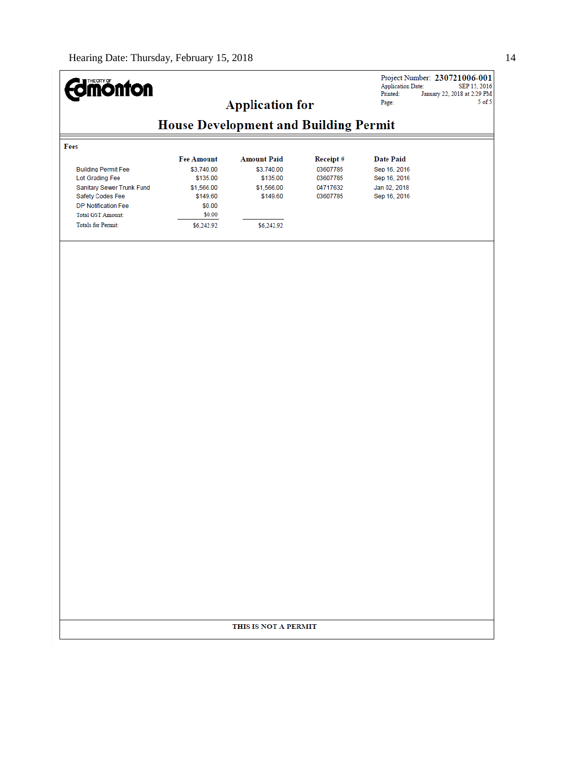#### Project Number: 230721006-001 **Edinonton** Application Date:<br>Printed: Ja **Application for** Page:  $5$  of  $5$ **House Development and Building Permit** Fees **Amount Paid Date Paid Fee Amount** Receipt# **Building Permit Fee** \$3,740.00 \$3,740.00 03607785 Sep 16, 2016 Lot Grading Fee \$135.00 \$135.00 03607785 Sep 16, 2016 \$1,566.00 04717632 Jan 02, 2018 Sanitary Sewer Trunk Fund \$1,566.00 Safety Codes Fee \$149.60 \$149.60 03607785 Sep 16, 2016 DP Notification Fee \$0.00 Total GST Amount:  $$0.00$ Totals for Permit: \$6,242.92 \$6,242.92

### THIS IS NOT A PERMIT

SEP 15, 2016 January 22, 2018 at 2:29 PM